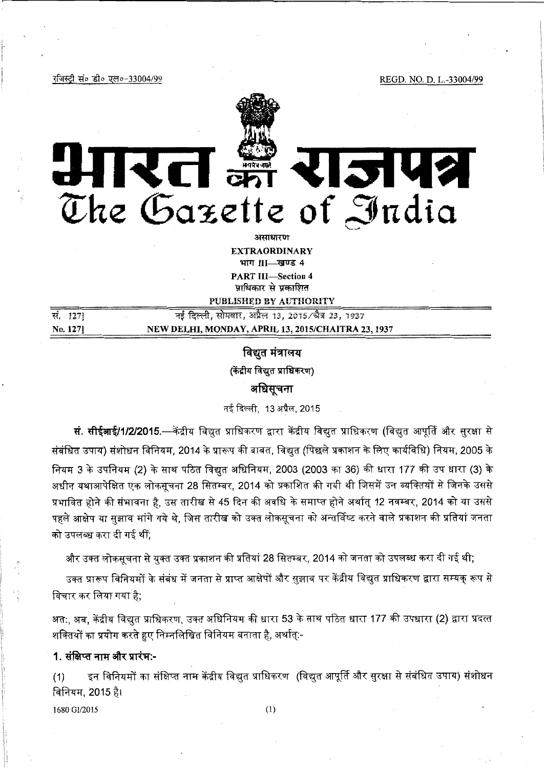रजिस्ट्री सं० डी० एल०-33004/99

REGD. NO. D. L.-33004/99



The Gazette of India

असाधारण **EXTRAORDINARY** भाग III-खण्ड 4 **PART III-Section 4** 

पाधिकार से पकाशित **DITRI ICHEN RV AITTHORITY** 

| सं. 1271 | नई दिल्ली, सोमवार, अप्रैल 13, 2015/चैत्र 23, 1937  |
|----------|----------------------------------------------------|
| No. 1271 | NEW DELHI, MONDAY, APRIL 13, 2015/CHAITRA 23, 1937 |
|          |                                                    |

# विद्युत मंत्रालय

(केंद्रीय विद्युत प्राधिकरण)

# अधिसूचना

नई दिल्ली. 13 अप्रैल. 2015

**सं. सीईआई/1/2/2015.—**केंद्रीय विद्युत प्राधिकरण द्वारा केंद्रीय विद्युत प्राधिकरण (विद्युत आपूर्ति और सुरक्षा से संबंधित उपाय) संशोधन विनियम, 2014 के प्रारूप की बाबत, विद्युत (पिछले प्रकाशन के लिए कार्यविधि) नियम, 2005 के नियम 3 के उपनियम (2) के साथ पठित विद्युत अधिनियम, 2003 (2003 का 36) की धारा 177 की उप धारा (3) के अधीन यथाआपेक्षित एक लोकसूचना 28 सितम्बर, 2014 को प्रकाशित की गयी थी जिसमें उन व्यक्तियों से जिनके उससे प्रभावित होने की संभावना है, उस तारीख से 45 दिन की अवधि के समाप्त होने अर्थात् 12 नवम्बर, 2014 को या उससे पहले आक्षेप या सझाव मांगे गये थे. जिस तारीख को उक्त लोकसूचना को अन्तर्विष्ट करने वाले प्रकाशन की प्रतियां जनता को उपलब्ध करा दी गई थीं;

और उक्त लोकसूचना से युक्त उक्त प्रकाशन की प्रतियां 28 सितम्बर, 2014 को जनता को उपलब्ध करा दी गई थी;

उक्त प्रारूप विनियमों के संबंध में जनता से प्राप्त आक्षेपों और सुझाव पर केंद्रीय विद्युत प्राधिकरण द्वारा सम्यक रूप से विचार कर लिया गया है:

अत:, अब, केंद्रीय विद्युत प्राधिकरण, उक्त अधिनियम की धारा 53 के साथ पठित धारा 177 की उपधारा (2) द्वारा प्रदत्त शक्तियों का प्रयोग करते हुए निम्नलिखित विनियम बनाता है, अर्थात्:-

# 1. संक्षिप्त नाम और प्रारंभ:-

इन विनियमों का संक्षिप्त नाम केंद्रीय विद्युत प्राधिकरण (विद्युत आपूर्ति और सुरक्षा से संबंधित उपाय) संशोधन  $(1)$ विनियम, 2015 है।

1680 GI/2015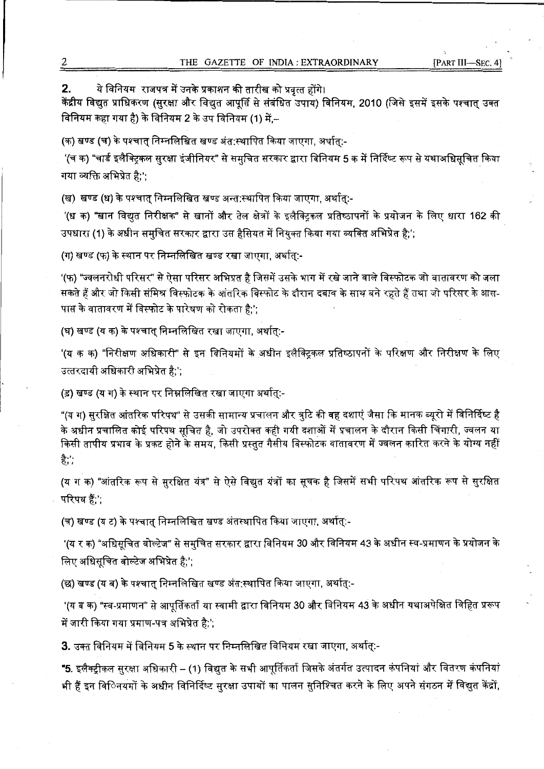<mark>2. ये विनियम राजपत्र में उनके प्रकाशन की तारीख को प्रवृत्त होंगे।<br>केंद्रीय विद्युत प्राधिकरण (सुरक्षा और विद्युत आपूर्ति से संबंधित उपाय) विनियम, 2010 (जिसे इसमें इसके पश्चात् उक्त</mark> **faिtaम कहा गया है) के विनियम 2 के उप विनियम (1) में,--**

(क) खण्ड (च) के पश्चात निम्नलिखित खण्ड अंत:स्थापित किया जाएगा. अर्थात:-

'(च क) "चार्ड इलैक्ट्रिकल सुरक्षा इंजीनियर" से समुचित सरकार द्वारा विनियम 5 क में निर्दिष्ट रूप से यथाअधिसूचित किया गया व्यक्ति अभिप्रेत है:':

(ख) खण्ड (ध) के पश्चात् निम्नलिखित खण्ड अन्त:स्थापित किया जाएगा, अर्थात्:-

'(ध क) "खान विद्यत निरीक्षक" से खानों और तेल क्षेत्रों के इलैक्टिकल प्रतिष्ठापनों के प्रयोजन के लिए धारा 162 की उपधारा (1) के अधीन समुचित सरकार द्वारा उस हैसियत में नियुक्त किया गया व्यक्ति अभिप्रेत है;';

(ग) खण्ड (फ) के स्थान पर निम्नलिखित खण्ड रखा जाएगा, अर्थात्:-

(ग) खण्ड (क) के स्थान पर ानम्नालाखत खण्ड रखा जाएगा, जयात्.-<br>'(फ) "ज्वलनरोधी परिसर" से ऐसा परिसर अभिप्रत है जिसमें उसके भाग में रखे जाने वाले विस्फोटक जो वातावरण को जला '(फ) "ज्वलनरोधी परिसर" से ऐसा परिसर अभिप्रत है जिसमें उसके भाग में रखे जाने वाले विस्फोटक जो वातावरण को जला<br>सकते हैं और जो किसी संमिश्र विस्फोटक के आंतरिक विस्फोट के दौरान दबाव के साथ बने रहते हैं तथा जो परिसर के आस-पास के वातावरण में विस्फोट के पारेषण को रोकता है:';

(घ) खण्ड (य क) के पश्चात् निम्नलिखित रखा जाएगा, अर्थात्:-

'(य क क) "निरीक्षण अधिकारी" से इन विनियमों के अधीन इलैक्ट्रिकल प्रतिष्ठापनों के परिक्षण और निरीक्षण के लिए उत्तरदायी अधिकारी अभिप्रेत है;';

(ड़) खण्ड (य ग) के स्थान पर निम्नलिखित रखा जाएगा अर्थात्:-

"(~ **.Y)** ~ ~ ~• \* <sup>~</sup>**f1 l+i 1.-4 Sf 'of 1<11** ~ **ffe .fir~ ~!(mt** ~ **fifi- lITrfcfi** ~ **ti f4 f..l** *fe:ISc.* <sup>~</sup> "(य ग) सुरक्षित आंतरिक परिपथ" से उसकी सामान्य प्रचालन और त्रुटि की वह दशाएं जैसा कि मानक ब्यूरो में विनिर्दिष्ट है<br>के अधीन प्रचालित कोई परिपथ सूचित है, जो उपरोक्त कही गयी दशाओं में प्रचालन के दौरान किसी चिंगारी, ज्वलन या के अधीन प्रचालित कोई परिपथ सूचित है, जो उपरोक्त कही गयी दशाओं में प्रचालन के दौरान किसी चिंगारी, ज्वलन या<br>किसी तापीय प्रभाव के प्रकट होने के समय, किसी प्रस्तुत गैसीय विस्फोटक वातावरण में ज्वलन कारित करने के योग्य नही है;';

(य ग क) "आंतरिक रूप से सुरक्षित यंत्र" से ऐसे विद्युत यंत्रों का सूचक है जिसमें सभी परिपथ आंतरिक रूप से सुरक्षित परिपथ हैं:':

(च) खण्ड (य ट) के पश्चात् निम्नलिखित खण्ड अंतस्थापित किया जाएगा, अर्थात्:-

'(य र क) "अधिसूचित वोल्टेज" से समुचित सरकार द्वारा विनियम 30 और विनियम 43 के अधीन स्व-प्रमाणन के प्रयोजन के लिए अधिसूचित वोल्टेज अभिप्रेत है;';

(छ) खण्ड (य ब) के पश्चात् निम्नलिखित खण्ड अंत:स्थापित किया जाएगा, अर्थात्:-

'(य ब क) "स्व-प्रमाणन" से आपूर्तिकर्ता या स्वामी द्वारा विनियम 30 और विनियम 43 के अधीन यथाअपेक्षित विहित प्ररूप में जारी किया गया प्रमाण-पत्र अभिप्रेत है;';

**3.** उक्त विनियम में विनियम 5 के स्थान पर निम्नलिखित विनियम रखा जाएगा, अर्थात्:-

•5\_ ~Jlcf4)r.fii:1 ~~ ~-(1) ~ % ~ 311'~:fdrticlT ~ 3fcl7TTf -3,qlGrl 4;qf..l4j 3ITT: fctcRUT 4iqf..l4j "5. इलैक्ट्रीकल सुरक्षा अधिकारी – (1) विद्युत के सभी आपूर्तिकर्ता जिसके अंतर्गत उत्पादन कंपनियां और वितरण कंपनियां<br>भी हैं इन वििनयमों के अधीन विनिर्दिष्ट सुरक्षा उपायों का पालन सुनिश्चित करने के लिए अपने संगठन में विद्युत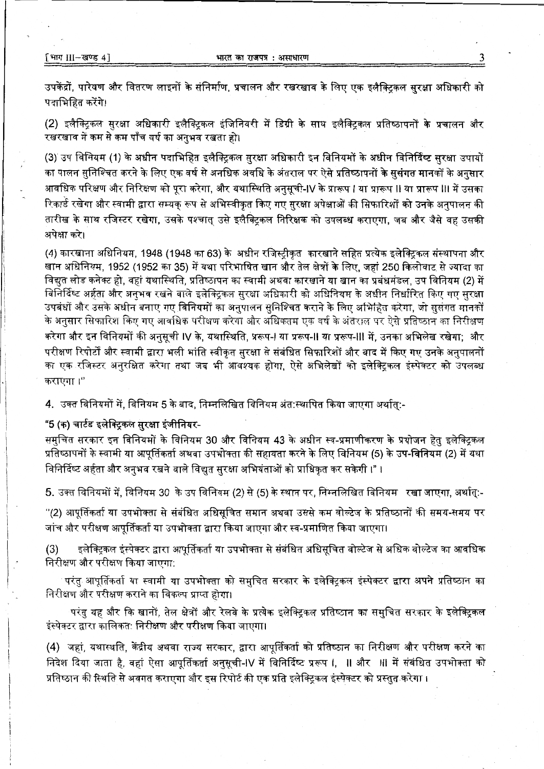उपकेंद्रों. पारेषण और वितरण लाइनों के संनिर्माण, प्रचालन और रखरखाव के लिए एक इलैक्टिकल सुरक्षा अधिकारी को पदाभिहित करेंगे।

(2) इलैक्ट्रिकल सुरक्षा अधिकारी इलैक्ट्रिकल इंजिनियरी में डिग्री के साथ इलैक्ट्रिकल प्रतिष्ठापनों के प्रचालन और रखरखाव में कम से कम पाँच वर्ष का अनुभव रखता हो।

(3) उप विनियम (1) के अधीन पदाभिहित इलैक्ट्रिकल सुरक्षा अधिकारी इन विनियमों के अधीन विनिर्दिष्ट सुरक्षा उपायों का पालन सुनिश्चित करने के लिए एक वर्ष से अनधिक अवधि के अंतराल पर ऐसे प्रतिष्ठापनों <mark>के ससंगत मान</mark>कों के अनुसार आवधिक परिक्षण और निरिक्षण को परा करेगा. और यथास्थिति अनसची-IV के प्रारूप I या प्रारूप II या प्रारूप III में उसका रिकार्ड रखेगा और स्वामी द्वारा सम्यक रूप से अभिस्वीकृत किए गए सुरक्षा अपेक्षाओं की सिफारिशों को उनके अनुपालन की तारीख के साथ रजिस्टर रखेगा. उसके पश्चात उसे इलैक्टिकल निरिक्षक को उपलब्ध कराएगा. जब और जैसे वह उसकी अपेक्षा करे।

(4) कारखाना अधिनियम, 1948 (1948 का 63) के अधीन रजिस्टीकृत कारखाने सहित प्रत्येक इलेक्टिकल संस्थापना और खान अधिनियम. 1952 (1952 का 35) में यथा परिभाषित खान और तेल क्षेत्रों के लिए. जहां 250 किलोवाट से ज्यादा का विद्यत लोड कनेक्ट हो. वहां यथास्थिति. प्रतिष्ठापन का स्वामी अथवा कारखाने या खान का प्रबंधमंडल, उप विनियम (2) में विनिर्दिष्ट अर्हता और अनुभव रखने वाले इलेक्ट्रिकल सुरक्षा अधिकारी को अधिनियम के अधीन निर्धारित किए गए सुरक्षा उपबंधों और उसके अधीन बनाए गए विनियमों का अनुपालन सुनिश्चित कराने के लिए अभिहित करेगा, जो सुसंगत मानकों के अनुसार सिफारिश किए गए आवधिक परीक्षण करेगा और अधिकतम एक वर्ष के अंतराल पर ऐसे प्रतिष्ठान का निरीक्षण करेगा और इन विनियमों की अनुसूची IV के, यथास्थिति, प्ररूप-I या प्ररूप-II या प्ररूप-III में, उनका अभिलेख रखेगा: और परीक्षण रिपोर्टों और स्वामी द्वारा भली भांति स्वीकत सरक्षा से संबंधित सिफारिशों और बाद में किए गए उनके अनुपालनों का एक रजिस्टर अनरक्षित करेगा तथा जब भी आवश्यक होगा. ऐसे अभिलेखों को इलेक्टिकल इंस्पेक्टर को उपलब्ध कराएगा ।''

4. उक्त विनियमों में, विनियम 5 के बाद, निम्नलिखित विनियम अंत:स्थापित किया जाएगा अर्थातु:-

## "5 (क) चार्टड इलेक्ट्रिकल सुरक्षा इंजीनियर-

समुचित सरकार इन विनियमों के विनियम 30 और विनियम 43 के अधीन स्व-प्रमाणीकरण के प्रयोजन हेतु इलेक्ट्रिकल प्रतिष्ठापनों के स्वामी या आपूर्तिकर्ता अथवा उपभोक्ता की सहायता करने के लिए विनियम (5) के उप-विनियम (2) में यथा विनिर्दिष्ट अर्हता और अनुभव रखने वाले विद्युत सुरक्षा अभियंताओं को प्राधिकृत कर सकेगी ।" ।

5. उक्त विनियमों में, विनियम 30 के उप विनियम (2) से (5) के स्थान पर, निम्नलिखित विनियम रखा जाएगा, अर्थात्:-

''(2) आपूर्तिकर्ता या उपभोक्ता से संबंधित अधिसूचित समान अथवा उससे कम वोल्टेज के प्रतिष्ठानों की समय-समय पर जांच और परीक्षण आपर्तिकर्ता या उपभोक्ता द्वारा किया जाएगा और स्व-प्रमाणित किया जाएगा।

इलेक्ट्रिकल इंस्पेक्टर द्वारा आपूर्तिकर्ता या उपभोक्ता से संबंधित अधिसूचित वोल्टेज से अधिक वोल्टेज का आवधिक  $(3)$ निरीक्षण और परीक्षण किया जाएगा:

परंत आपूर्तिकर्ता या स्वामी या उपभोक्ता को समुचित सरकार के इलेक्ट्रिकल इंस्पेक्टर द्वारा अपने प्रतिष्ठान का निरीक्षण और परीक्षण कराने का विकल्प प्राप्त होगा।

परंतु यह और कि खानों, तेल क्षेत्रों और रेलवे के प्रत्येक इलेक्ट्रिकल प्रतिष्ठान का समुचित सरकार के इलेक्ट्रिकल इंस्पेक्टर द्वारा कालिकत: निरीक्षण और परीक्षण किया जाएगा।

(4) जहां, यथास्थति, केंद्रीय अथवा राज्य सरकार, द्वारा आपूर्तिकर्ता को प्रतिष्ठान का निरीक्षण और परीक्षण करने का निदेश दिया जाता है, वहां ऐसा आपूर्तिकर्ता अनुसूची-IV में विनिर्दिष्ट प्ररूप I, II और III में संबंधित उपभोक्ता को प्रतिष्ठान की स्थिति से अवगत कराएगा और इस रिपोर्ट की एक प्रति इलेक्ट्रिकल इंस्पेक्टर को प्रस्तुत करेगा ।

3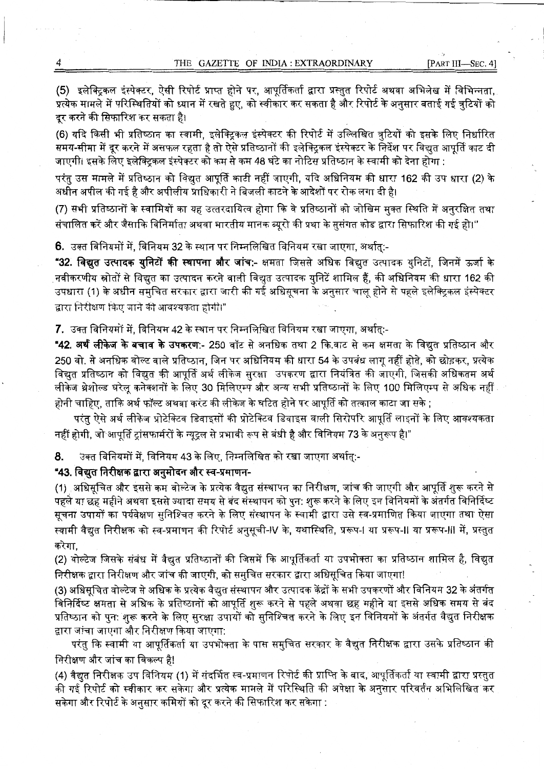(5) इलेक्टिकल इंस्पेक्टर, ऐसी रिपोर्ट प्राप्त होने पर, आपर्तिकर्ता द्वारा प्रस्तुत रिपोर्ट अथवा अभिलेख में विभिन्नता. प्रत्येक मामले में परिस्थितियों को ध्यान में रखते हुए, को स्वीकार कर सकता है और रिपोर्ट के अनुसार बताई गई त्रटियों को दर करने की सिफारिश कर सकता है।

(6) यदि किसी भी प्रतिष्ठान का स्वामी, इलेक्ट्रिकल इंस्पेक्टर की रिपोर्ट में उल्लिखित त्रटियों को इसके लिए निर्धारित समय-सीमा में दूर करने में असफल रहता है तो ऐसे प्रतिष्ठानों की इलेक्ट्रिकल इंस्पेक्टर के निर्देश पर विद्यत आपर्ति काट दी जाएगी। इसके लिए इलेक्टिकल इंस्पेक्टर को कम से कम 48 घंटे का नोटिस प्रतिष्ठान के स्वामी को देना होगा :

परंतु उस मामले में प्रतिष्ठान को विद्युत आपूर्ति काटी नहीं जाएगी, यदि अधिनियम की धारा 162 की उप धारा (2) के अधीन अपील की गई है और अपीलीय प्राधिकारी ने बिजली काटने के आदेशों पर रोक लगा दी है।

(7) सभी प्रतिष्ठानों के स्वामियों का यह उत्तरदायित्व होगा कि वे प्रतिष्ठानों को जोखिम मुक्त स्थिति में अनुरक्षित तथा संचालित करें और जैसाकि विनिर्माता अथवा भारतीय मानक ब्यूरो की प्रथा के सुसंगत कोड द्वारा सिफारिश की गई हो।''

6. उक्त विनियमों में, विनियम 32 के स्थान पर निम्नलिखित विनियम रखा जाएगा. अर्थात:-

"32. विद्यत उत्पादक युनिटों की स्थापना और जांच:- क्षमता जिससे अधिक विद्यत उत्पादक युनिटों. जिनमें ऊर्जा के नवीकरणीय स्रोतों से विद्युत का उत्पादन करने वाली विद्युत उत्पादक युनिटें शामिल हैं, की अधिनियम की धारा 162 की उपधारा (1) के अधीन समुचित सरकार द्वारा जारी की गई अधिसूचना के अनुसार चालू होने से पहले इलेक्ट्रिकल इंस्पेक्टर द्वारा निरीक्षण किए जाने की आवश्यकता होगी।"

7. उक्त विनियमों में, विनियम 42 के स्थान पर निम्नलिखित विनियम रखा जाएगा, अर्थात:-

**"42. अर्थ लीकेज के बचाव के उपकरण:- 250 वॉ**ट से अनधिक तथा 2 कि.वाट से कम क्षमता के विद्युत प्रतिष्ठान और 250 वो. से अनधिक वोल्ट वाले प्रतिष्ठान, जिन पर अधिनियम की धारा 54 के उपबंध लागू नहीं होते, को छोड़कर, प्रत्येक विद्युत प्रतिष्ठान को विद्युत की आपूर्ति अर्थ लीकेज सुरक्षा उपकरण द्वारा नियंत्रित की जाएगी, जिसकी अधिकतम अर्थ लीकेज थ्रेशोल्ड घरेलू कनेक्शनों के लिए 30 मिलिएम्प और अन्य सभी प्रतिष्ठानों के लिए 100 मिलिएम्प से अधिक नहीं होनी चाहिए, ताकि अर्थ फॉल्ट अथवा करंट की लीकेज के घटित होने पर आपूर्ति को तत्काल काटा जा सके ;

परंत ऐसे अर्थ लीकेज प्रोटेक्टिव डिवाइसों की प्रोटेक्टिव डिवाइस वाली सिरोपरि आपूर्ति लाइनों के लिए आवश्यकता नहीं होगी, जो आपूर्ति ट्रांसफार्मरों के न्यूट्ल से प्रभावी रूप से बंधी है और विनियम 73 के अनुरूप है।"

उक्त विनियमों में, विनियम 43 के लिए, निम्नलिखित को रखा जाएगा अर्थात्:-8.

"43. विद्युत निरीक्षक द्वारा अनुमोदन और स्व-प्रमाणन-

(1) अधिसूचित और इससे कम वोल्टेज के प्रत्येक वैद्युत संस्थापन का निरीक्षण, जांच की जाएगी और आपूर्ति शरू करने से पहले या छह महीने अथवा इससे ज्यादा समय से बंद संस्थापन को पुन: शुरू करने के लिए इन विनियमों के अंतर्गत विनिर्दिष्ट सूचना उपायों का पर्यवेक्षण सुनिश्चित करने के लिए संस्थापन के स्वामी द्वारा उसे स्व-प्रमाणित किया जाएगा तथा ऐसा स्वामी वैद्युत निरीक्षक को स्व-प्रमाणन की रिपोर्ट अनुसूची-IV के, यथास्थिति, प्ररूप-I या प्ररूप-II या प्ररूप-III में, प्रस्तुत करेगा.

(2) वोल्टेज जिसके संबंध में वैद्युत प्रतिष्ठानों की जिसमें कि आपूर्तिकर्ता या उपभोक्ता का प्रतिष्ठान शामिल है, विद्युत निरीक्षक द्वारा निरीक्षण और जांच की जाएगी. को समचित सरकार द्वारा अधिसचित किया जाएगा!

(3) अधिसूचित वोल्टेज से अधिक के प्रत्येक वैद्युत संस्थापन और उत्पादक केंद्रों के सभी उपकरणों और विनियम 32 के अंतर्गत विनिर्दिष्ट क्षमता से अधिक के प्रतिष्ठानों को आपूर्ति शुरू करने से पहले अथवा छह महीने या इससे अधिक समय से बंद प्रतिष्ठान को पन: शरू करने के लिए सरक्षा उपायों को सनिश्चित करने के लिए इन विनियमों के अंतर्गत वैद्युत निरीक्षक द्वारा जांचा जाएगा और निरीक्षण किया जाएगा:

परंतु कि स्वामी या आपूर्तिकर्ता या उपभोक्ता के पास समुचित सरकार के वैद्युत निरीक्षक द्वारा उसके प्रतिष्ठान की निरीक्षण और जांच का विकल्प है!

(4) वैद्यत निरीक्षक उप विनियम (1) में संदर्भित स्व-प्रमाणन रिपोर्ट की प्राप्ति के बाद, आपूर्तिकर्ता या स्वामी द्वारा प्रस्तुत की गई रिपोर्ट को स्वीकार कर सकेगा और प्रत्येक मामले में परिस्थिति की अपेक्षा के अनुसार परिवर्तन अभिलिखित कर सकेगा और रिपोर्ट के अनुसार कमियों को दूर करने की सिफारिश कर सकेगा :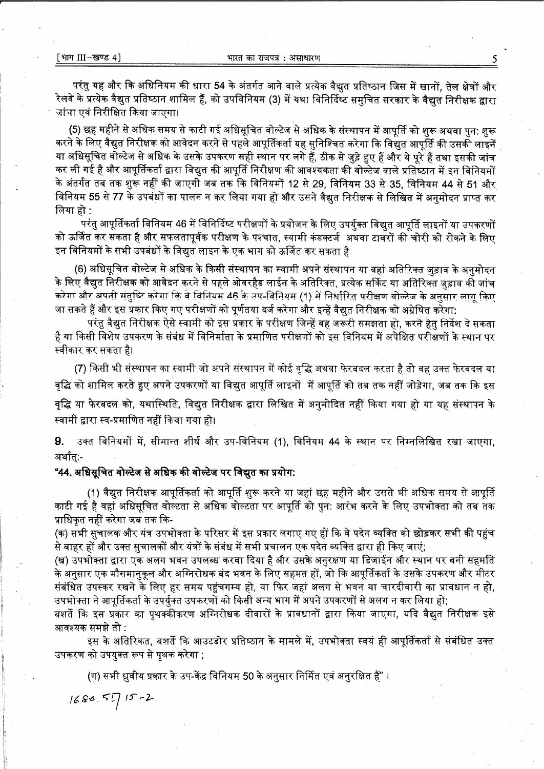परंतु यह और कि अधिनियम की धारा 54 के अंतर्गत आने वाले प्रत्येक वैद्युत प्रतिष्ठान जिस में खानों, तेल क्षेत्रों और रेलवे के प्रत्येक वैद्युत प्रतिष्ठान शामिल हैं, को उपविनियम (3) में यथा विनिर्दिष्ट समुचित सरकार के वैद्युत निरीक्षक द्वारा जांचा एवं निरीक्षित किया जाएगा।

(5) छह महीने से अधिक समय से काटी गई अधिसूचित वोल्टेज से अधिक के संस्थापन में आपूर्ति को शुरू अथवा पुन: शुरू करने के लिए वैद्युत निरीक्षक को आवेदन करने से पहले आपूर्तिकर्ता यह सुनिश्चित करेगा कि विद्युत आपूर्ति की उसकी लाइनें या अधिसूचित वोल्टेज से अधिक के उसके उपकरण सही स्थान पर लगे हैं, ठीक से जुड़े हुए हैं और ये पूरे हैं तथा इसकी जांच कर ली गई है और आपूर्तिकर्ता द्वारा विद्युत की आपूर्ति निरीक्षण की आवश्यकता की वोल्टेज वाले प्रतिष्ठान में इन विनियमों के अंतर्गत तब तक शुरू नहीं की जाएगी जब तक कि विनियमों 12 से 29, विनियम 33 से 35, विनियम 44 से 51 और विनियम 55 से 77 के उपबंधों का पालन न कर लिया गया हो और उसने वैद्युत निरीक्षक से लिखित में अनमोदन प्राप्त कर लिया हो :

परंत आपूर्तिकर्ता विनियम 46 में विनिर्दिष्ट परीक्षणों के प्रयोजन के लिए उपर्युक्त विद्युत आपूर्ति लाइनों या उपकरणों को ऊर्जित कर सकता है और सफलतापूर्वक परीक्षण के पश्चात, स्वामी कंडक्टर्ज अथवा टावरों की चोरी को रोकने के लिए इन विनियमों के सभी उपबंधों के विद्युत लाइन के एक भाग को ऊर्जित कर सकता है

(6) अधिसूचित वोल्टेज से अधिक के किसी संस्थापन का स्वामी अपने संस्थापन या वहां अतिरिक्त जुड़ाव के अनुमोदन के लिए वैद्युत निरीक्षक को आवेदन करने से पहले ओवरहैड लाईन के अतिरिक्त, प्रत्येक सर्किट या अतिरिक्त जड़ाव की जांच करेगा और अपनी संतुष्टि करेगा कि वे विनियम 46 के उप-विनियम (1) में निर्धारित परीक्षण वोल्टेज के अनुसार लागू किए जा सकते हैं और इस प्रकार किए गए परीक्षणों को पूर्णतया दर्ज करेगा और इन्हें वैद्युत निरीक्षक को अग्रेषित करेगा:

परंतु वैद्युत निरीक्षक ऐसे स्वामी को इस प्रकार के परीक्षण जिन्हें वह जरूरी समझता हो, करने हेतु निर्देश दे सकता है या किसी विशेष उपकरण के संबंध में विनिर्माता के प्रमाणित परीक्षणों को इस विनियम में अपेक्षित परीक्षणों के स्थान पर स्वीकार कर सकता है।

(7) किसी भी संस्थापन का स्वामी जो अपने संस्थापन में कोई वृद्धि अथवा फेरबदल करता है तो वह उक्त फेरबदल या वद्धि को शामिल करते हुए अपने उपकरणों या विद्युत आपूर्ति लाइनों में आपूर्ति को तब तक नहीं जोड़ेगा, जब तक कि इस वृद्धि या फेरबदल को, यथास्थिति, विद्युत निरीक्षक द्वारा लिखित में अनुमोदित नहीं किया गया हो या यह संस्थापन के स्वामी द्वारा स्व-प्रमाणित नहीं किया गया हो।

उक्त विनियमों में, सीमान्त शीर्ष और उप-विनियम (1), विनियम 44 के स्थान पर निम्नलिखित रखा जाएगा, 9. अर्थात:-

"44. अधिसूचित वोल्टेज से अधिक की वोल्टेज पर विद्युत का प्रयोग:

(1) वैद्युत निरीक्षक आपूर्तिकर्ता को आपूर्ति शुरू करने या जहां छह महीने और उससे भी अधिक समय से आपूर्ति काटी गई है वहां अधिसूचित वोल्टता से अधिक वोल्टता पर आपूर्ति को पुन: आरंभ करने के लिए उपभोक्ता को तब तक प्राधिकत नहीं करेगा जब तक कि-

(क) सभी सुचालक और यंत्र उपभोक्ता के परिसर में इस प्रकार लगाए गए हों कि वे पदेन व्यक्ति को छोड़कर सभी की पहुंच से बाहर हों और उक्त सुचालकों और यंत्रों के संबंध में सभी प्रचालन एक पदेन व्यक्ति द्वारा ही किए जाएं;

(ख) उपभोक्ता द्वारा एक अलग भवन उपलब्ध करवा दिया है और उसके अनुरक्षण या डिजाईन और स्थान पर बनी सहमति के अनुसार एक मौसमानुकूल और अग्निरोधक बंद भवन के लिए सहमत हों, जो कि आपूर्तिकर्ता के उसके उपकरण और मीटर संबंधित उपस्कर रखने के लिए हर समय पहुंचगम्य हो, या फिर जहां अलग से भवन या चारदीवारी का प्रावधान न हो, उपभोक्ता ने आपूर्तिकर्ता के उपर्युक्त उपकरणों को किसी अन्य भाग में अपने उपकरणों से अलग न कर लिया हो;

बशर्ते कि इस प्रकार का पृथक्कीकरण अग्निरोधक दीवारों के प्रावधानों द्वारा किया जाएगा, यदि वैद्युत निरीक्षक इसे आवश्यक समझे तो :

इस के अतिरिकत, बशर्ते कि आउटडोर प्रतिष्ठान के मामले में, उपभोक्ता स्वयं ही आपूर्तिकर्ता से संबंधित उक्त उपकरण को उपयुक्त रूप से पृथक करेगा :

(ग) सभी ध्रुवीय प्रकार के उप-केंद्र विनियम 50 के अनुसार निर्मित एवं अनुरक्षित हैं" ।

 $1680.55715 - 2$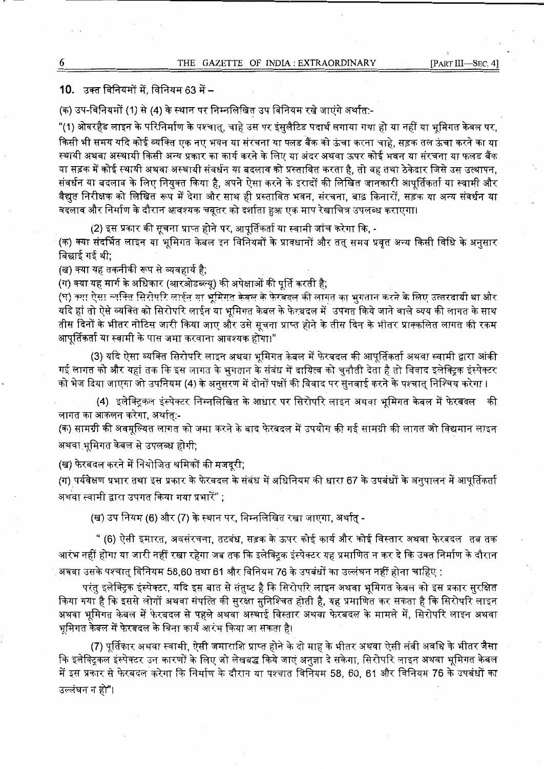# 10. उक्त विनियमों में, विनियम 63 में –

(क) उप-विनियमों (1) से (4) के स्थान पर निम्नलिखित उप विनियम रखे जाएंगे अर्थात:-

"(1) ओवरहैड लाइन के परिनिर्माण के पश्चात, चाहे उस पर इंसुलैटिड पदार्थ लगाया गया हो या नहीं या भूमिगत केबल पर, किसी भी समय यदि कोई व्यक्ति एक नए भवन या सरचना या फ्लड बैंक को ऊंचा करना चाहे. सड़क तल ऊंचा करने का या स्थायी अथवा अस्थायी किसी अन्य प्रकार का कार्य करने के लिए या अंदर अथवा ऊपर कोई भवन या संरचना या फलड बैंक या सड़क में कोई स्थायी अथवा अस्थायी संवर्धन या बदलाव को प्रस्तावित करता है. तो वह तथा ठेकेदार जिसे उस उत्थापन, या सड़क में कोई स्थायी अथवा अस्थायी संवर्धन या बदलाव को प्रस्तावित करता है, तो वह तथा ठेकेदार जिसे उस उत्थापन,<br>संवर्धन या बदलाव के लिए नियुक्त किया है, अपने ऐसा करने के इरादों की लिखित जानकारी आपूर्तिकर्ता या स्वामी और संवर्धन या बदलाव के लिए नियुक्त किया है, अपने ऐसा करने के इरादों की लिखित जानकारी आपूर्तिकर्ता या स्वामी और<br>वैद्युत निरीक्षक को लिखित रूप में देगा और साथ ही प्रस्तावित भवन, संरचना, बाढ़ किनारों, सड़क या अन्य संवर्धन या<br>—— वैद्युत निरीक्षक को लिखित रूप में देगा और साथ ही प्रस्तावित भवन, संरचना, बाढ़ किनारों, सड़क या अन्य संवर्धन या<br>बदलाव और निर्माण के दौरान आवश्यक चबूतर को दर्शाता हुआ एक माप रेखाचित्र उपलब्ध कराएगा।

**(2)** ~ **:fcfiR** ~~~~TR, **&ll c~:J1fi:ficlT <TT BTim ffi cf>t.TT fcfi",** -

(क) क्या संदर्भित लाइन या भूमिगत केबल इन विनियमों के प्रावधानों और तत् समय प्रवृत अन्य किसी विधि के अनुसार बिछाई गई थी;

(ख) क्या यह तकनीकी रूप से व्यवहार्य है:

(ग) क्या यह मार्ग के अधिकार (आरओडब्ल्यु) की अपेक्षाओं की पूर्ति करती है;

(घ़) क्या ऐसा व्यक्ति सिरोपरि लाईन या भूमिगत केबल के फेरबदल की लागत का भगतान करने के लिए उत्तरदायी था और यदि हां तो ऐसे व्यक्ति को सिरोपरि लाईन या भूमिगत केबल के फेरबदल में उपगत किये जाने वाले व्यय की लागत के साथ तीस दिनों के भीतर नोटिस जारी किया जाए और उसे सूचना प्राप्त होने के तीस दिन के भीतर प्राक्कलित लागत की रकम **&l 1 '[Rf.t. d T** ~ **"fciTlft** ~ **"Cfffi '111-fl** i.:fi {cl I **'11 3lfcf!?<Tcfi zyTT** I" .

3) यदि ऐसा व्यक्ति सिरोपरि लाइन अथवा भूमिगत केबल में फेरबदल की आपूर्तिकर्ता अथवा स्वामी द्वारा आंकी)<br>गई लागत को और यहां तक कि इस लागत के भगतान के संबंध में दायित्व को चुनौती देता है तो विवाद इलेक्ट्रिक इंस्पेक्टर को भेज दिया जाएगा जो उपनियम (4) के अनुसरण में दोनों पक्षों की विवाद पर सुनवाई करने के पश्चात् निश्चिय करेगा ।

(4) इलेक्ट्रिकल इंस्पेक्टर निम्नलिखित के आधार पर सिरोपरि लाइन अथवा भमिगत केबल में फेरबदल की लागत का आकलन करेगा, अर्थात:-

(क) सामग्री की अवमल्यित लागत को जमा करने के बाद फेरबदल में उपयोग की गई सामग्री की लागत जो विद्यमान लाइन अथवा भूमिगत केबल से उपलब्ध होगी;

(ख) फेरबदल करने में नियोजित श्रमिकों की मजदूरी;

(ग) पर्यवेक्षण प्रभार तथा इस प्रकार के फेरबदल के संबंध में अधिनियम की धारा 67 के उपबंधों के अनुपालन में आपूर्तिकर्ता अथवा स्वामी द्वारा उपगत किया गया प्रभारें" :

(ख) उप नियम (6) और (7) के स्थान पर. निम्नलिखित रखा जाएगा. अर्थात -

" (6) ऐसी इमारत, अवसंरचना, तटबंध, सड़क के ऊपर कोई कार्य और कोई विस्तार अथवा फेरबदल तब तक आरंभ नहीं होगा या जारी नहीं रखा रहेगा जब तक कि इलेक्टिक इंस्पेक्टर यह प्रमाणित न कर दे कि उक्त निर्माण के दौरान अथवा उसके पश्चात् विनियम 58,60 तथा 61 और विनियम 76 के उपबंधों का उल्लंघन नहीं होना चाहिए :

परंतु इलेक्ट्रिक इंस्पेक्टर, यदि इस बात से संतुष्ट है कि सिरोपरि लाइन अथवा भूमिगत केबल को इस प्रकार सरक्षित किया गया है कि इससे लोगों अथवा संपत्ति की सुरक्षा सुनिश्चित होती है, यह प्रमाणित कर सकता है कि सिरोपरि लाइन अथवा भूमिगत केबल में फेरबदल से पहले अथवा अस्थाई विस्तार अथवा फेरबदल के मामले में, सिरोपरि लाइन अथवा **~w,if 4.(ai4i;,J ~~ffl 3lTDT~~~~I** 

(7) पर्तिकार अथवा स्वामी, ऐसी जमाराशि प्राप्त होने के दो माह के भीतर अथवा ऐसी लंबी अवधि के भीतर जैसा कि इलेक्टिकल इंस्पेक्टर उन कारणों के लिए जो लेखबद्ध किये जाएं अनुज्ञा दे सकेगा, सिरोपरि लाइन अथवा भूमिगत केबल में इस प्रकार से फेरबदल करेगा कि निर्माण के दौरान या पश्चात विनियम 58, 60, 61 और विनियम 76 के उपबंधों का उल्लंघन न हो"।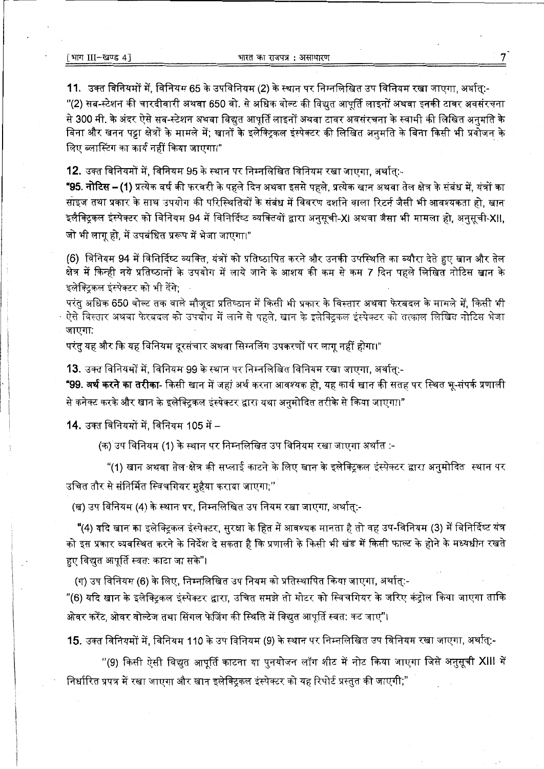11. उक्त विनियमों में, विनियम 65 के उपविनियम (2) के स्थान पर निम्नलिखित उप विनियम रखा जाएगा, अर्थात्:-

''(2) सब-स्टेशन की चारदीवारी अथवा 650 वो. से अधिक वोल्ट की विद्युत आपूर्ति लाइनों अथवा इनकी टावर अवसंरचना से 300 मी. के अंदर ऐसे सब-स्टेशन अथवा विद्यत आपर्ति लाइनों अथवा टावर अवसंरचना के स्वामी की लिखित अनुमति के बिना और खनन पट्टा क्षेत्रों के मामले में; खानों के इलेक्ट्रिकल इंस्पेक्टर की लिखित अनुमति के बिना किसी भी प्रयोजन के लिए ब्लास्टिंग का कार्य नहीं किया जाएगा।"

12. उक्त विनियमों में, विनियम 95 के स्थान पर निम्नलिखित विनियम रखा जाएगा, अर्थात:-

**"95. नोटिस – (1)** प्रत्येक वर्ष की फरवरी के पहले दिन अथवा इससे पहले. प्रत्येक खान अथवा तेल क्षेत्र के संबंध में, यंत्रों का साइज तथा प्रकार के साथ उपयोग की परिस्थितियों के संबंध में विवरण दर्शाने वाला रिटर्न जैसी भी आवश्यकता हो, खान इलैक्टिकल इंस्पेक्टर को विनियम 94 में विनिर्दिष्ट व्यक्तियों द्वारा अनसची-XI अथवा जैसा भी मामला हो. अनसची-XII. जो भी लागू हो, में उपबंधित प्ररूप में भेजा जाएगा।"

(6) विनियम 94 में विनिर्दिष्ट व्यक्ति, यंत्रों को प्रतिष्ठापित करने और उनकी उपस्थिति का ब्यौरा देते हुए खान और तेल क्षेत्र में किन्ही नये प्रतिष्ठानों के उपयोग में लाये जाने के आशय की कम से कम 7 दिन पहले लिखित नोटिस खान के इलेक्टिकल इंस्पेक्टर को भी देंगे:

परंतु अधिक 650 वोल्ट तक वाले मौजूदा प्रतिष्ठान में किसी भी प्रकार के विस्तार अथवा फेरबदल के मामले में. किसी भी ऐसे विस्तार अथवा फेरबदल को उपयोग में लाने से पहले, खान के इलेक्ट्रिकल इंस्पेक्टर को तत्काल लिखित नोटिस भेजा जाएगा:

परंतु यह और कि यह विनियम दूरसंचार अथवा सिग्नलिंग उपकरणों पर लागू नहीं होगा।"

13. उक्त विनियमों में. विनियम 99 के स्थान पर निम्नलिखित विनियम रखा जाएगा, अर्थात:-

**"99. अर्थ करने का तरीका**- किसी खान में जहां अर्थ करना आवश्यक हो, यह कार्य खान की सतह पर स्थित भू-संपर्क प्रणाली से कनेक्ट करके और खान के इलेक्ट्रिकल इंस्पेक्टर द्वारा यथा अनुमोदित तरीके से किया जाएगा।"

14. उक्त विनियमों में, विनियम 105 में –

(क) उप विनियम (1) के स्थान पर निम्नलिखित उप विनियम रखा जाएगा अर्थात :-

"(1) खान अथवा तेल क्षेत्र की सप्लाई काटने के लिए खान के इलेक्टिकल इंस्पेक्टर द्वारा अनुमोदित स्थान पर उचित तौर से संनिर्मित स्विचगियर महैया कराया जाएगा;''

(ख) उप विनियम (4) के स्थान पर. निम्नलिखित उप नियम रखा जाएगा. अर्थात:-

"(4) यदि खान का इलेक्ट्रिकल इंस्पेक्टर, सुरक्षा के हित में आवश्यक मानता है तो वह उप-विनियम (3) में विनिर्दिष्ट यंत्र को इस प्रकार व्यवस्थित करने के निर्देश दे सकता है कि प्रणाली के किसी भी खंड में किसी फाल्ट के होने के मध्यधीन रखते हुए विद्युत आपूर्ति स्वत: काटा जा सके"।

(ग) उप विनियम (6) के लिए. निम्नलिखित उप नियम को प्रतिस्थापित किया जाएगा, अर्थात्:-

"(6) यदि खान के इलेक्टिकल इंस्पेक्टर द्वारा, उचित समझे तो मोटर को स्विचगियर के जरिए कंट्रोल किया जाएगा ताकि ओवर करेंट, ओवर वोल्टेज तथा सिंगल फेजिंग की स्थिति में विद्युत आपूर्ति स्वत: कट जाए"।

15. उक्त विनियमों में, विनियम 110 के उप विनियम (9) के स्थान पर निम्नलिखित उप विनियम रखा जाएगा, अर्थात्.-

''(9) किसी ऐसी विद्युत आपूर्ति काटना या पुनयोजन लॉग शीट में नोट किया जाएगा जिसे अनुसूची XIII में निर्धारित प्रपत्र में रखा जाएगा और खान इलेक्ट्रिकल इंस्पेक्टर को यह रिपोर्ट प्रस्तुत की जाएगी;"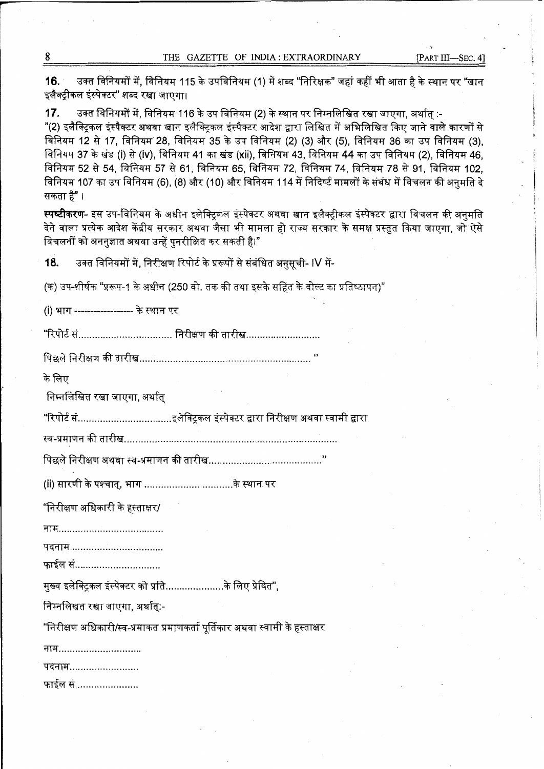8 THE GAZETTE OF INDIA: EXTRAORDINARY [PART III-SEC. 4]

.·,

**16.** उक्त विनियमों में, विनियम 115 के उपविनियम (1) में शब्द "निरिक्षक" जहां कहीं भी आता है के स्थान पर "खान<br>इलैक्ट्रीकल इंस्पेक्टर" शब्द रखा जाएगा। इलैक्ट्रीकल इंस्पेक्टर" शब्द रखा जाएगा।<br>**17.** उक्त विनियमों में, विनियम 116 के उप विनियम (2) के स्थान पर निम्नलिखित रखा जाएगा, अर्थात् :-

"(2) इलैक्टिकल इंस्पैक्टर अथवा खान इलैक्टिकल इंस्पैक्टर आदेश द्वारा लिखित में अभिलिखित किए जाने वाले कारणों से विनियम 12 से 17, विनियम 28, विनियम 35 के उप विनियम (2) (3) और (5), विनियम 36 का उप विनियम (3), विनियम 37 के खंड (i) से (iv), विनियम 41 का खंड (xii), विनियम 43, विनियम 44 का उप विनियम (2), विनियम 46, विनियम 52 से 54, विनियम 57 से 61, विनियम 65, विनियम 72, विनियम 74, विनियम 78 से 91, विनियम 102, ावानयम 52 स 54, ावानयम 57 स 61, ावानयम 65, ावानयम 72, ावानयम 74, ावानयम 78 स 91, ावानयम 102,<br>विनियम 107 का उप विनियम (6), (8) और (10) और विनियम 114 में निदिष्ट मामलों के संबंध में विचलन की अनुमति दे विनियम 107<br>सकता है" । सकता है"।<br>**स्पष्टीकरण**- इस उप-विनियम के अधीन इलेक्टिकल इंस्पेक्टर अथवा खान इलैक्टीकल इंस्पेक्टर द्वारा विचलन की अनमति

देने वाला प्रत्येक आदेश केंद्रीय सरकार अथवा जैसा भी मामला हो राज्य सरकार के समक्ष प्रस्तुत किया जाएगा. जो ऐसे विचलनों को अननुज्ञात अथवा उन्हें पुनरीक्षित कर सकतीं है।"

18. उक्त विनियमों में, निरीक्षण रिपोर्ट के प्ररूपों से संबंधित अनुसूची- IV में-

(क) उप-शीर्षक "प्ररूप-1 के अधीन (250 वो. तक की तथा इसके सहित के वोल्ट का प्रतिष्ठापन)"

(i) भाग ------------------ के स्थान पर

"ftrni ff .................................. f.lit&TOT fr~ .......................... .

~ f.:tfr&TOT ~ ~ *..... :* ........................................................ "

के लिए

निम्नलिखित रखा जाएगा. अर्थात

''ft.int ff .................................. ~~ Pf~ef>i.1 {t9if2.( IDU f.lit&TOT ~ BfTlfi ITTU

स्व-प्रमाणन की तारीख

~ f.:tfr&TOT 31"~ BHI +I I 0 1 rl ciTT" ~ .................... ..................... "

(ii) स़ारणी के पश्चात्, भाग .................................के स्थान पर

"निरीक्षण अधिकारी के हस्ताक्षर/

rfflf ....... ..................... ....... .. .

~ ................................. .

फाईल सं...............................

मख्य इलेक्ट्रिकल इंस्पेक्टर को प्रति....................के लिए प्रेषित".

निम्नलिखत रखा जाएगा, अर्थात्:-

"निरीक्षण अधिकारी/स्व-प्रमाकत प्रमाणकर्ता पूर्तिकार अथवा स्वामी के हस्ताक्षर

नाम..............................

पदनाम.........................

फाईल सं......................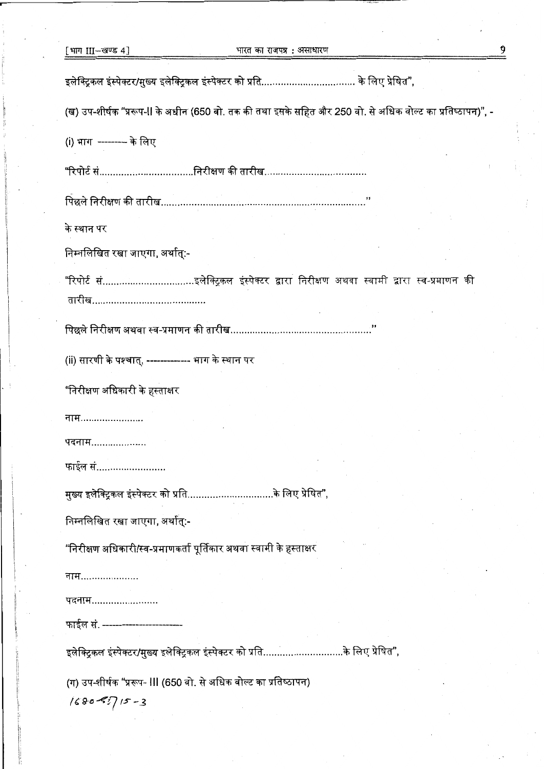| [भाग III—खण्ड 4]                                                                                           | भारत का राजपत्र : असाधारण |  |
|------------------------------------------------------------------------------------------------------------|---------------------------|--|
| इलेक्ट्रिकल इंस्पेक्टर/मुख्य इलेक्ट्रिकल इंस्पेक्टर को प्रति के लिए प्रेषित",                              |                           |  |
| (ख) उप-शीर्षक "प्ररूप-II के अधीन (650 वो. तक की तथा इसके सहित और 250 वो. से अधिक वोल्ट का प्रतिष्ठापन)", - |                           |  |
| (i) भाग  --------- के लिए                                                                                  |                           |  |
|                                                                                                            |                           |  |
|                                                                                                            |                           |  |
| के स्थान पर                                                                                                |                           |  |
| निम्नलिखित रखा जाएगा, अर्थात्:-                                                                            |                           |  |
|                                                                                                            |                           |  |
| तारीख…………………………………                                                                                         |                           |  |
| पिछले निरीक्षण अथवा स्व-प्रमाणन की तारीख                                                                   |                           |  |
| (ii) सारणी के पश्चात्, ------------- भाग के स्थान पर                                                       |                           |  |
| "निरीक्षण अधिकारी के हस्ताक्षर                                                                             |                           |  |
| नाम…………………                                                                                                 |                           |  |
| पदनाम…………………                                                                                               |                           |  |
| फाईल सं                                                                                                    |                           |  |
| मुख्य इलेक्ट्रिकल इंस्पेक्टर को प्रतिके लिए प्रेषित",                                                      |                           |  |
| निम्नलिखित रखा जाएगा, अर्थात्:-                                                                            |                           |  |
| "निरीक्षण अधिकारी/स्व-प्रमाणकर्ता पूर्तिकार अथवा स्वामी के हस्ताक्षर                                       |                           |  |
| नाम…………………                                                                                                 |                           |  |
| पदनाम                                                                                                      |                           |  |
| फाईल सं. ------------------------                                                                          |                           |  |
| इलेक्ट्रिकल इंस्पेक्टर/मुख्य इलेक्ट्रिकल इंस्पेक्टर को प्रतिके लिए प्रेषित",                               |                           |  |
| (ग) उप-शीर्षक "प्ररूप- III (650 वो. से अधिक वोल्ट का प्रतिष्ठापन)                                          |                           |  |
| $(680 - 2)$ 15 - 3                                                                                         |                           |  |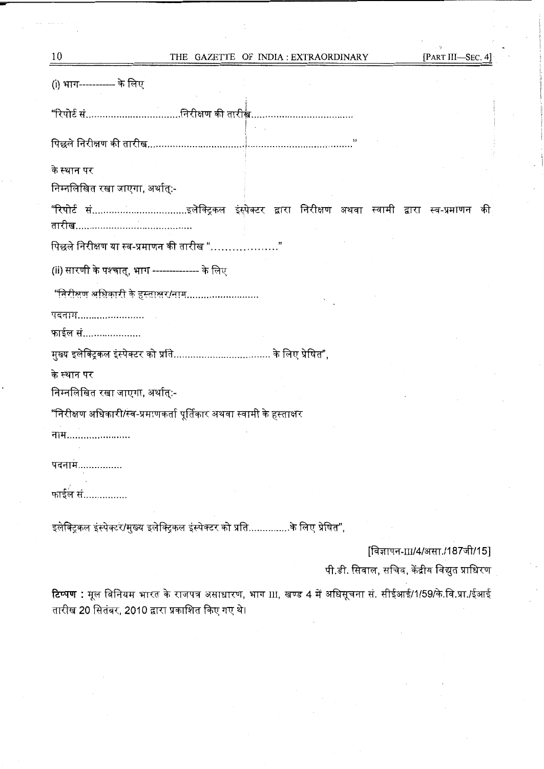| 10                                                                                  | THE GAZETTE OF INDIA: EXTRAORDINARY |  |  | [PART III-SEC. 4]                             |  |
|-------------------------------------------------------------------------------------|-------------------------------------|--|--|-----------------------------------------------|--|
| (i) भाग------------ के लिए                                                          |                                     |  |  |                                               |  |
| "रिपोर्ट संनिरीक्षण की तारीख्व                                                      |                                     |  |  |                                               |  |
|                                                                                     |                                     |  |  |                                               |  |
| के स्थान पर                                                                         |                                     |  |  |                                               |  |
| निम्नलिखित रखा जाएगा, अर्थात्:-                                                     |                                     |  |  |                                               |  |
| "रिपोर्ट संइलेक्ट्रिकल इंस्पेक्टर द्वारा निरीक्षण अथवा स्वामी द्वारा स्व-प्रमाणन की |                                     |  |  |                                               |  |
| पिछले निरीक्षण या स्व-प्रमाणन की तारीख "                                            |                                     |  |  |                                               |  |
| (ii) सारणी के पश्चात्, भाग -------------- के लिए                                    |                                     |  |  |                                               |  |
| "निरीक्षण अधिकारी के हस्ताक्षर/नाम                                                  |                                     |  |  |                                               |  |
| पदनाम                                                                               |                                     |  |  |                                               |  |
| फाईल सं                                                                             |                                     |  |  |                                               |  |
|                                                                                     |                                     |  |  |                                               |  |
| के स्थान पर                                                                         |                                     |  |  |                                               |  |
| निम्नलिखित रखा जाएगा, अर्थात्:-                                                     |                                     |  |  |                                               |  |
| "निरीक्षण अधिकारी/स्व-प्रमाणकर्ता पूर्तिकार अथवा स्वामी के हस्ताक्षर                |                                     |  |  |                                               |  |
| नाम……………………                                                                         |                                     |  |  |                                               |  |
| पदनाम…                                                                              |                                     |  |  |                                               |  |
| फाईल सं.                                                                            |                                     |  |  |                                               |  |
| इलेक्ट्रिकल इंस्पेक्टर/मुख्य इलेक्ट्रिकल इंस्पेक्टर को प्रतिके लिए प्रेषित",        |                                     |  |  |                                               |  |
|                                                                                     |                                     |  |  | [विज्ञापन-III/4/असा./187जी/15]                |  |
|                                                                                     |                                     |  |  | पी.डी. सिवाल, सचिव, केंद्रीय विद्युत प्राधिरण |  |
|                                                                                     |                                     |  |  |                                               |  |

**टिप्पण :** मूल विनियम भारत के राजपत्र असाधारण, भाग III, खण्ड 4 में अधिसूचना सं. सीईआई/1/59/के.वि.प्रा./ईआई तारीख 20 सितंबर, 2010 द्वारा प्रकाशित किए गए थे।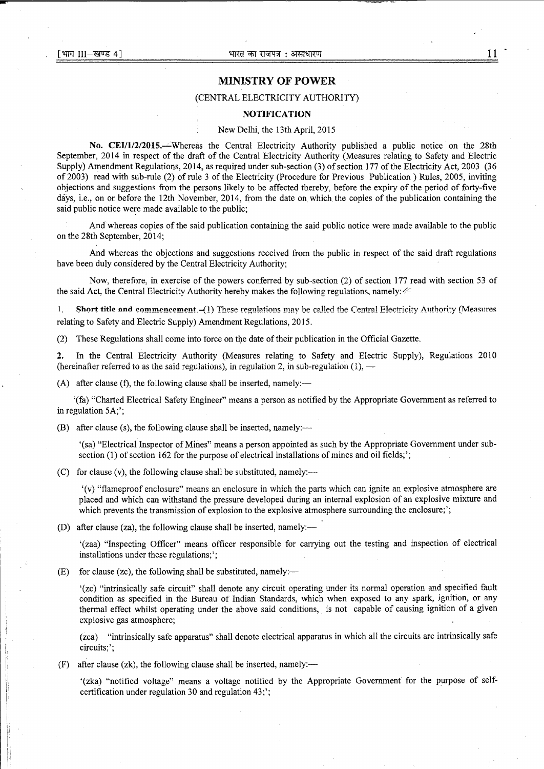### **MINISTRY OF POWER**

### (CENTRAL ELECTRICITY AUTHORITY)

#### **NOTIFICATION**

#### New Delhi, the 13th April, 2015

**No. CEI/1/2/2015.~Whereas** the Central Electricity Authority published a public notice on the 28th September, 2014 in respect of the draft of the Central Electricity Authority (Measures relating to Safety and Electric Supply) Amendment Regulations, 2014, as required under sub-section (3) of section 177 of the Electricity Act, 2003 (36 of 2003) read with sub-rule (2) of rule 3 of the Electricity (Procedure for Previous Publication ) Rules, 2005, inviting objections and suggestions from the persons likely to be affected thereby, before the expiry of the period of forty-five days, i.e., on or before the 12th November, 2014, from the date on which the copies of the publication containing the said public notice were made available to the public;

And whereas copies of the said publication containing the said public notice were made available to the public on the 28th September, 2014;

And whereas the objections and suggestions received from the public in respect of the said draft regulations have been duly considered by the Central Electricity Authority;

Now, therefore, in exercise of the powers conferred by sub-section (2) of section 177 read with section 53 of the said Act, the Central Electricity Authority hereby makes the following regulations, namely: $44$ 

1. Short title and commencement.-(1) These regulations may be called the Central Electricity Authority (Measures relating to Safety and Electric Supply) Amendment Regulations, 2015.

(2) These Regulations shall come into force on the date of their publication in the Official Gazette.

**2.** In the Central Electricity Authority (Measures relating to Safety and Electric Supply), Regulations 2010 (hereinafter referred to as the said regulations), in regulation 2, in sub-regulation  $(1)$ , —

(A) after clause (f), the following clause shall be inserted, namely:—

'(fa) "Charted Electrical Safety Engineer" means a person as notified by the Appropriate Government as referred to in regulation 5A;';

(B) after clause (s), the following clause shall be inserted, namely:—

'(sa) "Electrical Inspector of Mines" means a person appointed as such by the Appropriate Government under subsection (1) of section 162 for the purpose of electrical installations of mines and oil fields;';

(C) for clause (v), the following clause shall be substituted, namely: $\leftarrow$ 

'(v) "flameproof enclosure" means an enclosure in which the parts which can ignite an explosive atmosphere are placed and which can withstand the pressure developed during an internal explosion of an explosive mixture and which prevents the transmission of explosion to the explosive atmosphere surrounding the enclosure;';

(D) after clause (za), the following clause shall be inserted, namely:—

'(zaa) "Inspecting Officer" means officer responsible for carrying out the testing and inspection of electrical installations under these regulations;';

 $(E)$  for clause (zc), the following shall be substituted, namely:—

'(zc) "intrinsically safe circuit" shall denote any circuit operating under its normal operation and specified fault condition as specified in the Bureau of Indian Standards, which when exposed to any spark, ignition, or any thermal effect whilst operating under the above said conditions, is not capable of causing ignition of a given explosive gas atmosphere;

(zca) "intrinsically safe apparatus" shall denote electrical apparatus in which all the circuits are intrinsically safe circuits;';

 $(F)$  after clause (zk), the following clause shall be inserted, namely:—

'(zka) "notified voltage" means a voltage notified by the Appropriate Government for the p\_urpose of selfcertification under regulation 30 and regulation 43;';

**11** .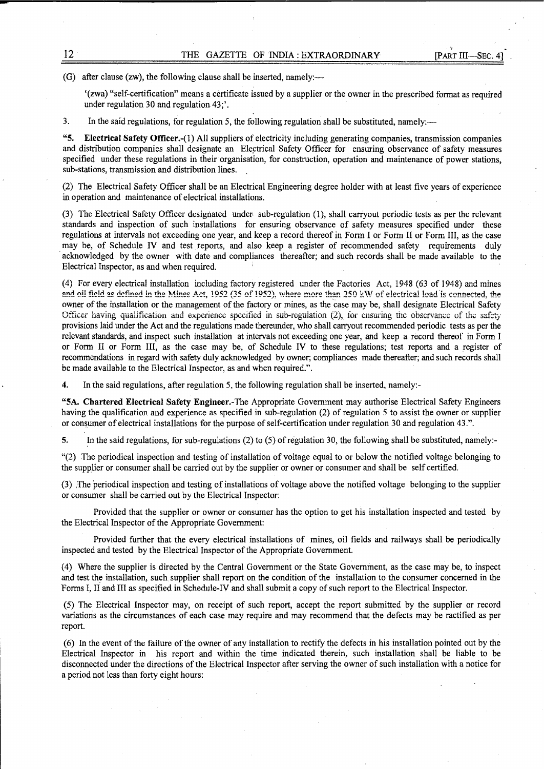·,

(G) after clause (zw), the following clause shall be inserted, namely:—

'(zwa) "self-certification" means a certificate issued by a supplier or the owner in the prescribed format as required under regulation 30 and regulation 43;'.

3. In the said regulations, for regulation 5, the following regulation shall be substituted, namely:-

**"5. Electrical Safety Officer.-(1)** All suppliers of electricity including generating companies, transmission companies and distribution companies shall designate an Electrical Safety Officer for ensuring observance of safety measures specified under these regulations in their organisation, for construction, operation and maintenance of power stations, sub-stations, transmission and distribution lines.

(2) The Electrical Safety Officer shall be an Electrical Engineering degree holder with at least five years of experience in operation and maintenance of electrical installations.

(3) The Electrical Safety Officer designated under, sub-regulation (1), shall carryout periodic tests as per the relevant standards and inspection of such installations for ensuring observance of safety measures specified under these regulations at intervals not exceeding one year, and keep a record thereof in Form I or Form II or Form III, as the case may be, of Schedule IV and test reports, and also keep a register of recommended safety requirements duly acknowledged by the owner with date and compliances thereafter; and such records shall be made available to the Electrical Inspector, as and when required.

(4) For every electrical installation including factory registered under the Factories Act, 1948 (63 of 1948) and mines and oil field as defined in the Mines Act, 1952 (35 of 1952), where more than 250 kW of electrical load is connected, the owner of the installation or the management of the factory or mines, as the case may be, shall designate Electrical Safety Officer having qualification and experience specified in sub-regulation (2), for cnsuring the observance of the safety provisions laid under the Act and the regulations made thereunder, who shall carryout recommended periodic tests as per the relevant standards, and inspect such installation at intervals not exceeding one year, and keep a record thereof in Form I or Form Il or Form III, as the case may be, of Schedule IV to these regulations; test reports and a register of recommendations in regard with safety duly acknowledged by owner; compliances made thereafter; and such records shall be made available to the Electrical Inspector, as and when required.".

**4.** In the said regulations, after regulation 5, the following regulation shall be inserted, namely:-

**"5A. Chartered Electrical Safety** Engineer.-The Appropriate Government may authorise Electrical Safety Engineers having the qualification and experience as specified in sub-regulation (2) of regulation 5 to assist the owner or supplier or consumer of electrical installations for the purpose of self-certification under regulation 30 and regulation 43.".

**5.** In the said regulations, for sub-regulations (2) to (5) of regulation 30, the following shall be substituted, namely:-

"(2) The periodical inspection and testing of installation of voltage equal to or below the notified voltage belonging to the supplier or consumer shall be carried out by the supplier or owner or consumer and shall be self certified.

(3) ;The periodical inspection and testing of installations of voltage above the notified voltage belonging to the supplier or consumer shall be carried out by the Electrical Inspector:

Provided that the supplier or owner or consumer has the option to get his installation inspected and tested by the Electrical Inspector of the Appropriate Government:

Provided further that the every electrical installations of mines, oil fields and railways shall be periodically inspected and tested by the Electrical Inspector of the Appropriate Government.

(4) Where the supplier is directed by the Central Government or the State Government, as the case may be, to inspect and test the installation, such supplier shall report on the condition of the installation to the consumer concerned in the Forms I, II and III as specified in Schedule-IV and shall submit a copy of such report to the Electrical Inspector.

(5) The Electrical Inspector may, on receipt of such report, accept the report submitted by the supplier or record variations as the circumstances of each case may require and may recommend that the defects may be ractified as per report

( 6) In the event of the failure of the owner of any installation to rectify the defects in his installation pointed out by the Electrical Inspector in his report and within the time indicated therein, such installation shall be liable to be disconnected under the directions of the Electrical Inspector after serving the owner of such installation with a notice for a period not less than forty eight hours: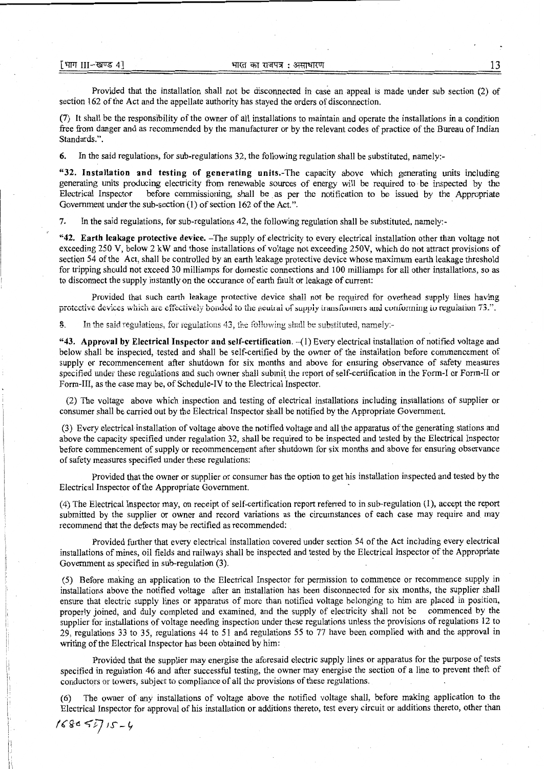Provided that the installation shall not be disconnected in case an appeal is made under sub section (2) of section 162 of the Act and the appellate authority has stayed the orders of disconnection.

(7) It shall be the responsibility of the owner of all installations to maintain and operate the installations in a condition free from danger and as recommended by the manufacturer or by the relevant codes of practice of the Bureau of Indian Standards.".

6. In the said regulations, for sub-regulations 32, the following regulation shall be substituted, namely:-

"32. Installation and testing of generating units.-The capacity above which generating units including generating units producing electricity from renewable sources of energy will be required to be inspected by the Electrical Inspector before commissioning, shall be as per the notification to be issued by the Appropriate Government under the sub-section (1) of section 162 of the Act.".

7. In the said regulations, for sub-regulations 42, the following regulation shall be substituted, namely:-

**"42. Earth leakage protective device.** -The supply of electricity to every electrical installation other than voltage not exceeding 250 V, below 2 kW and those installations of voltage not exceeding 250V, which do not attract provisions of section 54 of the Act, shall be controlled by an earth leakage protective device whose maximum earth leakage threshold for tripping should not exceed 30 milliamps for domestic connections and 100 milliamps for all other installations, so as to disconnect the supply instantly on the occurance of earth fault or leakage of current:

Provided that such earth leakage protective device shall not be required for overhead supply lines having protective devices which are effectively bonded to the neutral of supply transformers and conforming to regulation 73.".

8. In the said regulations, for regulations 43, the following shall be substituted, namely:-

**"43. Approval by Electrical Inspector and self-certification.** -(1) Every electrical installation of notified voltage and below shall be inspected, tested and shall be self-certified by the owner of the installation before commencement of supply or recommencement after shutdown for six months and above for ensuring observance of safety measures specified under these regulations and such owner shall submit the report of self-certification in the Form-I or Form-II or Form-III, as the case may be, of Schedule-IV to the Electrical Inspector.

(2) The voltage above which inspection and testing of electrical installations including installations of supplier or consumer shall be carried out by the Electrical Inspector shall be notified by the Appropriate Government.

(3) Every electrical installation of voltage above the notified voltage and all the apparatus of the generating stations and above the capacity specified under regulation 32, shall be required to be inspected and tested by the Electrical Inspector before commencement of supply or recommencement after shutdown for six months and above for ensuring observance of safety measures specified under these regulations:

Provided that the owner or supplier or consumer has the option to get his installation inspected and tested by the Electrical Inspector of the Appropriate Government.

(4) The Electrical Inspector may, on receipt of self-certification report referred to in sub-regulation (1), accept the report submitted by the supplier or owner and record variations as the circumstances of each case may require and may recommend that the defects may be rectified as recommended:

Provided further that every electrical installation covered under section 54 of the Act including every electrical installations of mines, oil fields and railways shall be inspected and tested by the Electrical Inspector of the Appropriate Government as specified in sub-regulation (3).

(5) Before making an application to the Electrical Inspector for permission to commence or recommence supply in installations above the notified voltage after an installation has been disconnected for six months, the supplier shall ensure that electric supply lines or apparatus of more than notified voltage belonging to him are placed in position, properly joined, and duly completed and examined, and the supply of electricity shall not be commenced by the supplier for installations of voltage needing inspection under these regulations unless the provisions of regulations 12 to 29, regulations 33 to 35, regulations 44 to 51 and regulations 55 to 77 have been complied with and the approval in writing of the Electrical Inspector has been obtained by him:

Provided that the supplier may energise the aforesaid electric supply lines or apparatus for the purpose of tests specified in regulation 46 and after successful testing, the owner may energise the section of a line. to prevent theft of conductors or towers, subject to compliance of all the provisions of these regulations.

(6) The owner of any installations of voltage above the notified voltage shall, before making application to the Electrical Inspector for approval of his installation or additions thereto, test every circuit or additions thereto, other than

*/(Q--6* ~iJ IS'~~

Ii

l;  $\mathbf{i}$ !'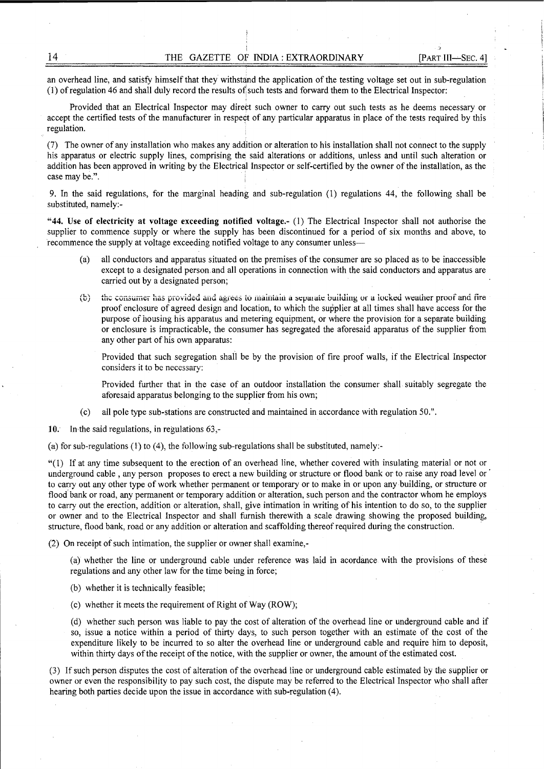-,

an overhead line, and satisfy himself that they withstand the application of the testing voltage set out in sub-regulation  $(1)$  of regulation 46 and shall duly record the results of such tests and forward them to the Electrical Inspector:

Provided that an Electrical Inspector may direct such owner to carry out such tests as he deems necessary or accept the certified tests of the manufacturer in respect of any particular apparatus in place of the tests required by this regulation.

(7) The owner of any installation who makes any addition or alteration to his installation shall not connect to the supply his apparatus or electric supply lines, comprising the said alterations or additions, unless and until such alteration or addition has been approved in writing by the Electrical Inspector or self-certified by the owner of the installation, as the case may be.".

9. In the said regulations, for the marginal heading and sub-regulation (1) regulations 44, the following shall be substituted, namely:-

**"44. Use of electricity at voltage exceeding notified voltage.-** (1) The Electrical Inspector shall not authorise the supplier to commence supply or where the supply has been discontinued for a period of six months and above, to recommence the supply at voltage exceeding notified voltage to any consumer unless-

- (a) all conductors and apparatus situated on the premises of the consumer are so placed as to be inaccessible except to a designated person and all operations in connection with the said conductors and apparatus are carried out by a designated person;
- (b) the consumer has provided and agrees to maintain a separate building or a locked weather proof and fire proof enclosure of agreed design and location, to which the supplier at all times shall have access for the purpose of housing his apparatus and metering equipment, or where the provision ior a separate buiiding or enclosure is impracticable, the consumer has segregated the aforesaid apparatus of the supplier from any other part of his own apparatus:

Provided that such segregation shall be by the provision of fire proof walls, if the Electrical Inspector considers it to be necessary:

Provided further that in the case of an outdoor installation the consumer shall suitably segregate the aforesaid apparatus belonging to the supplier from his own;

(c) all pole type sub-stations are constructed and maintained in accordance with regulation 50.".

**10.** In-the said regulations, in regulations 63,-

(a) for sub-regulations (1) to (4), the following sub-regulations shall be substituted, namely:-

"(}) If at any time subsequent to the erection of an overhead line, whether covered with insulating material or not or underground cable , any person proposes to erect a new building or structure or flood bank or to raise any road level or· to carry out any other type of work whether permanent or temporary or to make in or upon any· building, or structure or flood bank or road, any permanent or temporary addition or alteration, such person and the contractor whom he employs to carry out the erection, addition or alteration, shall, give intimation in writing of his intention to do so, to the supplier or owner and to the Electrical Inspector and shall furnish therewith a scale drawing showing the proposed building, structure, flood bank, road or any addition or alteration and scaffolding thereof required during the construction. ·

(2) On receipt of such intimation, the supplier or owner shall examine,-

(a) whether the line or underground cable under reference was laid in acordance with the provisions of these regulations and any other law for the time being in force;

- (b) whether it is technically feasible;
- (c) whether it meets the requirement of Right of Way (ROW);

( d) whether such person was liable to pay the cost of alteration of the overhead line or underground cable and if so, issue a notice within a period of thirty days, to such person together with an estimate of the cost of the expenditure likely to be incurred to so alter the overhead line or underground cable and require him to deposit, within thirty days of the receipt of the notice, with the supplier or owner, the amount of the estimated cost.

(3) If such person disputes the cost of alteration of the overhead line or underground cable estimated by the supplier or owner or even the responsibility to pay such cost, the dispute may be referred to the Electrical Inspector who shall after hearing both parties decide upon the issue in accordance with sub-regulation (4).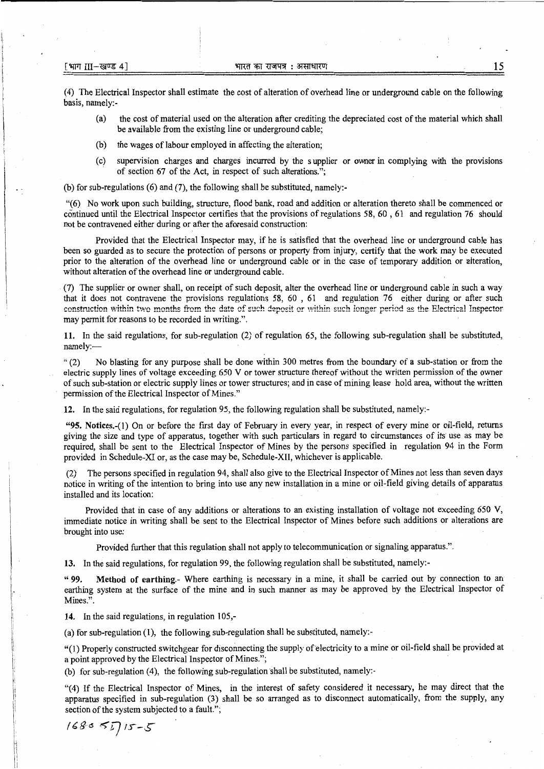(4) The Electrical Inspector shall estimate the cost of alteration of overhead line or underground cable on the following basis, namely:-

- (a) the cost of material used on the alteration after crediting the depreciated cost of the material which shall be available from the existing line or underground cable;
- (b) the wages of labour employed in affecting the alteration;
- (c) supervision charges and charges incurred by the supplier or owner in complying with the provisions of section 67 of the Act, in respect of such alterations.";

(b) for sub-regulations (6) and (7), the following shall be substituted, namely:-

"(6) No work upon such building, structure, flood bank, road and addition or alteration thereto shall be commenced or continued until the Electrical Inspector certifies that the provisions of regulations  $58, 60, 61$  and regulation 76 should not be contravened either during or after the aforesaid construction:

Provided that the Electrical Inspector may, if he is satisfied that the overhead line or underground cable has been so guarded as to secure the protection of persons or property from injury, certify that the work may be executed prior to the alteration of the overhead line or underground cable or in the case of temporary addition or alteration, without alteration of the overhead line or underground cable.

(7) The supplier or owner shall, on receipt of such deposit, alter the overhead line or underground cable in such a way that it does not contravene the provisions regulations 58, 60 , 61 and regulation 76 either during or after such construction within two months from the date of such deposit or within such longer period as the Electrical Inspector may permit for reasons to be recorded in writing.".

**11.** In the said regulations, for sub-regulation (2) of regulation 65, the following sub-regulation shall be substituted, namely:-

" (2) No blasting for any purpose shall be done within 300 metres from the boundary of a sub-station or from the electric supply lines of voltage exceeding 650 V or tower structure thereof without the written permission of the owner of such sub-station or electric supply lines or tower structures; and in case of mining lease hold area, without the written permission of the Electrical Inspector of Mines."

**12.** In the said regulations, for regulation *95,* the following regulation shall be substituted, namely:-

**"95. Notices.-(})** On or before the first day of February in every year, in respect of every mine or oil-field, returns giving the size and type of apparatus, together with such particulars in regard to circumstances of its use as may be required, shall be sent to the Electrical Inspector of Mines by the persons specified in regulation 94 in the Form provided in Schedule-XI or, as the case may be, Schedule-XII, whichever is applicable.

The persons specified in regulation 94, shall also give to the Electrical Inspector of Mines not less than seven days notice in writing of the intention to bring into use any new installation in a mine or oil-field giving details of apparatus installed and its location:

Provided that in case of any additions or alterations to an existing installation of voltage not exceeding 650 V, immediate notice in writing shall be sent to the Electrical Inspector of Mines before such additions or alterations are brought into use:

Provided further that this regulation shall not apply to telecommunication or signaling apparatus.".

**13.** In the said regulations, for regulation 99, the following regulation shall be substituted, namely:-

" **99. Method of earthing.-** Where earthing is necessary in a mine, it shall be carried out by connection to an earthing system at the surface of the mine and in such manner as may be approved by the Electrical Inspector of Mines.".

**14.** In the said regulations, in regulation 105,-

(a) for sub-regulation (1), the following sub-regulation shall be substituted, namely:-

"(l) Properly constructed switchgear for disconnecting the supply of-electricity to a mine or oil-field shall be provided at a point approved by the Electrical Inspector of Mines.";

(b) for sub-regulation (4), the following sub-regulation shall be substituted, namely:-

"(4) If the Electrical Inspector of Mines, in the interest of safety considered it necessary, he may direct that the apparatus specified in sub-regulation (3) shall be so arranged as to disconnect automatically, from the supply, any section of the system subjected to a fault.";

$$
168055715-5
$$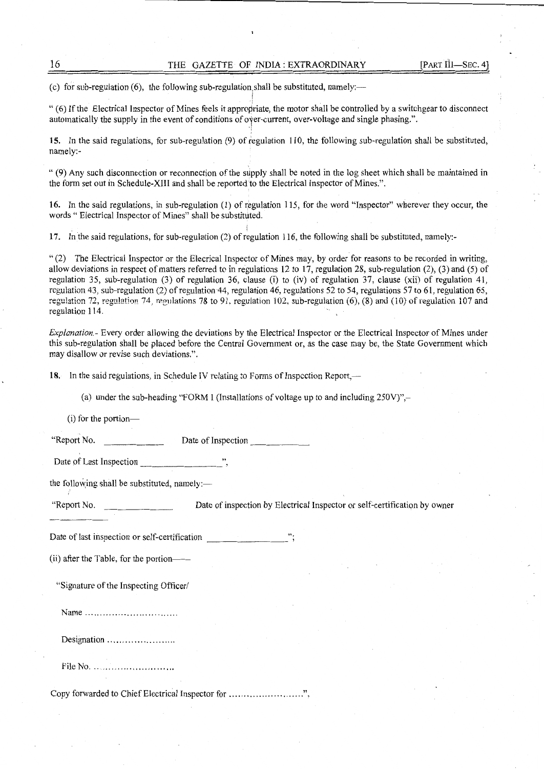(c) for sub-regulation (6), the following sub-regulation, shall be substituted, namely:—

"(6) If the Electrical Inspector of Mines feels it appropriate, the motor shall be controlled by a switchgear to disconnect automatically the supply in the event of conditions of oyer-current, over-voltage and single phasing.".

/ •I

·i

15. In the said regulations, for sub-regulation (9) of regulation 110, the following sub-regulation shall be substituted, namely:-

" (9) Any such disconnection or reconnection of the supply shall be noted in the log sheet which shall be maintained in the form set out in Schedule-XIII and shall be reported to the Electrical Inspector of Mines.".

16. In the said regulations, in sub-regulation (1) of regulation 115, for the word "Inspector" wherever they occur, the words " Electrical Inspector of Mines" shall be substituted.

17. In the said regulations, for sub-regulation (2) of regulation 116, the following shall be substituted, namely:-

" (2) The Electrical Inspector or the Elecrical Inspector of Mines may, by order for reasons to be recorded in writing, allow deviations in respect of matters referred to in regulations 12 to 17, regulation 28, sub-regulation (2), (3) and (5) of regulation 35, sub-regulation  $(3)$  of regulation 36, clause (i) to (iv) of regulation 37, clause (xii) of regulation 41, regulation 43, sub-regulation  $(2)$  of regulation 44, regulation 46, regulations 52 to 54, regulations 57 to 61, regulation 65, regulation 72, regulation 74, regulations 78 to 91, regulation 102, sub-regulation (6),  $(8)$  and  $(10)$  of regulation 107 and regulation J 14.

*Explanation.-* Every order allowing the deviations by the Electrical Inspector or the Electrical Inspector of Mines under this sub-regulation shall be placed before the Central Government or, as the case may be, the State Government which may disallow or revise such deviations.".

18. In the said regulations, in Schedule IV relating to Forms of Inspection Report,—

(a) under the sub-heading "FORM I (Installations of voltage up to and including  $250V$ )",-

 $(i)$  for the portion-

"Report No. Date of Inspection \_\_\_\_\_ \_

Date of Last Inspection

the following shall be substituted, namely: $-$ 

"Report No. Date of inspection by Electrical Inspector or self-certification by owner

Date of last inspection or self-certification

(ii) after the Table, for the portion--

"Signature of the Inspecting Officer/

Name .............................. .

Designation .........................

File No. ............................

Copy forwarded to Chief Electrical Inspector for ................................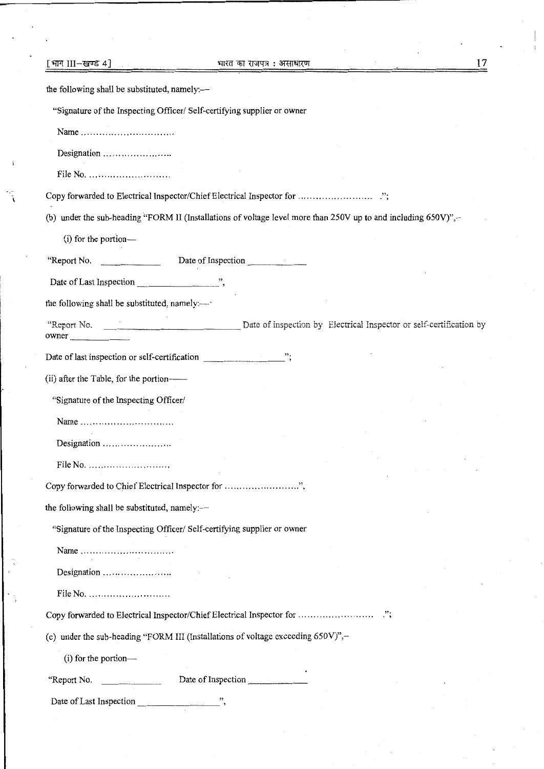| [भाग 111−खण्ड 4]<br>भारत का राजपत्र : असाधारण                                                                  | 17 |
|----------------------------------------------------------------------------------------------------------------|----|
| the following shall be substituted, namely:-                                                                   |    |
| "Signature of the Inspecting Officer/ Self-certifying supplier or owner                                        |    |
| Name                                                                                                           |    |
| Designation                                                                                                    |    |
| File No. $\dots \dots \dots \dots \dots \dots \dots$                                                           |    |
|                                                                                                                |    |
| (b) under the sub-heading "FORM II (Installations of voltage level more than 250V up to and including 650V)",- |    |
| (i) for the portion-                                                                                           |    |
| "Report No.<br>Date of Inspection                                                                              |    |
|                                                                                                                |    |
| the following shall be substituted, namely:-                                                                   |    |
| owner                                                                                                          |    |
| Date of last inspection or self-certification ";                                                               |    |
| (ii) after the Table, for the portion-                                                                         |    |
| "Signature of the Inspecting Officer/                                                                          |    |
| Name                                                                                                           |    |
|                                                                                                                |    |
| File No.                                                                                                       |    |
|                                                                                                                |    |
| the following shall be substituted, namely:-                                                                   |    |
| "Signature of the Inspecting Officer/ Self-certifying supplier or owner                                        |    |
| Name                                                                                                           |    |
|                                                                                                                |    |
|                                                                                                                |    |
|                                                                                                                |    |
| (c) under the sub-heading "FORM III (Installations of voltage exceeding 650V)",-                               |    |
| (i) for the portion-                                                                                           |    |
| Date of Inspection<br>"Report No.<br><u> 1980 - John Barnett, mars et al.</u>                                  |    |
| Date of Last Inspection                                                                                        |    |
|                                                                                                                |    |